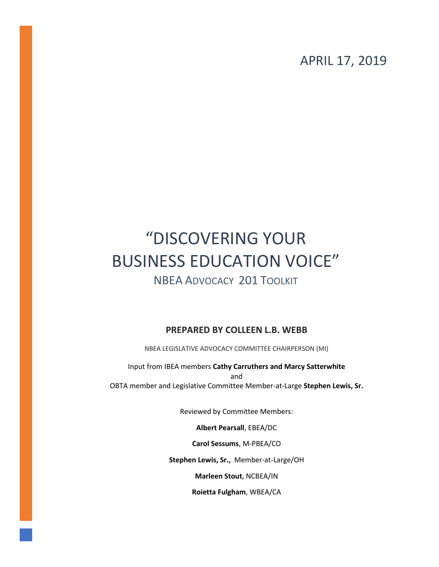APRIL 17, 2019

# "DISCOVERING YOUR BUSINESS EDUCATION VOICE"

### NBEA ADVOCACY 201 TOOLKIT

#### **PREPARED BY COLLEEN L.B. WEBB**

NBEA LEGISLATIVE ADVOCACY COMMITTEE CHAIRPERSON (MI)

Input from IBEA members **Cathy Carruthers and Marcy Satterwhite** and OBTA member and Legislative Committee Member-at-Large **Stephen Lewis, Sr.**

Reviewed by Committee Members:

**Albert Pearsall**, EBEA/DC

**Carol Sessums**, M-PBEA/CO

**Stephen Lewis, Sr.,** Member-at-Large/OH

**Marleen Stout**, NCBEA/IN

**Roietta Fulgham**, WBEA/CA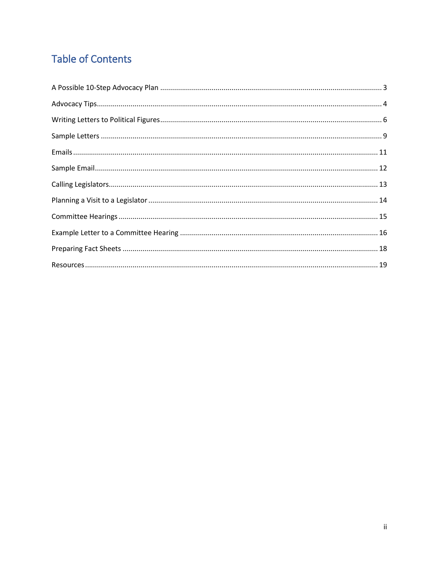## **Table of Contents**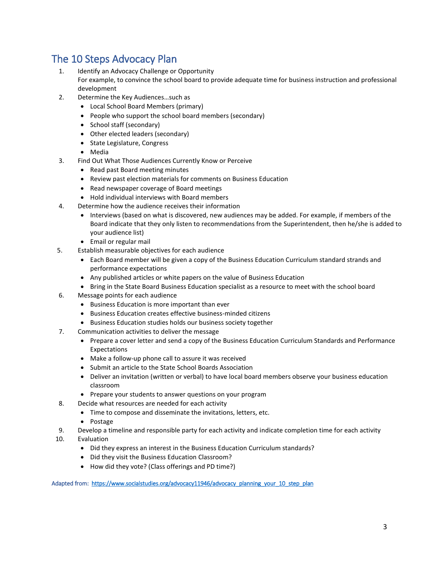### The 10 Steps Advocacy Plan

- 1. Identify an Advocacy Challenge or Opportunity For example, to convince the school board to provide adequate time for business instruction and professional development
- 2. Determine the Key Audiences…such as
	- Local School Board Members (primary)
	- People who support the school board members (secondary)
	- School staff (secondary)
	- Other elected leaders (secondary)
	- State Legislature, Congress
	- Media
- 3. Find Out What Those Audiences Currently Know or Perceive
	- Read past Board meeting minutes
	- Review past election materials for comments on Business Education
	- Read newspaper coverage of Board meetings
	- Hold individual interviews with Board members
- 4. Determine how the audience receives their information
	- Interviews (based on what is discovered, new audiences may be added. For example, if members of the Board indicate that they only listen to recommendations from the Superintendent, then he/she is added to your audience list)
	- Email or regular mail
- 5. Establish measurable objectives for each audience
	- Each Board member will be given a copy of the Business Education Curriculum standard strands and performance expectations
	- Any published articles or white papers on the value of Business Education
	- Bring in the State Board Business Education specialist as a resource to meet with the school board
- 6. Message points for each audience
	- Business Education is more important than ever
	- Business Education creates effective business-minded citizens
	- Business Education studies holds our business society together
- 7. Communication activities to deliver the message
	- Prepare a cover letter and send a copy of the Business Education Curriculum Standards and Performance Expectations
	- Make a follow-up phone call to assure it was received
	- Submit an article to the State School Boards Association
	- Deliver an invitation (written or verbal) to have local board members observe your business education classroom
	- Prepare your students to answer questions on your program
- 8. Decide what resources are needed for each activity
	- Time to compose and disseminate the invitations, letters, etc.
	- Postage
- 9. Develop a timeline and responsible party for each activity and indicate completion time for each activity
- 10. Evaluation
	- Did they express an interest in the Business Education Curriculum standards?
	- Did they visit the Business Education Classroom?
	- How did they vote? (Class offerings and PD time?)

Adapted from: https://www.socialstudies.org/advocacy11946/advocacy\_planning\_your\_10\_step\_plan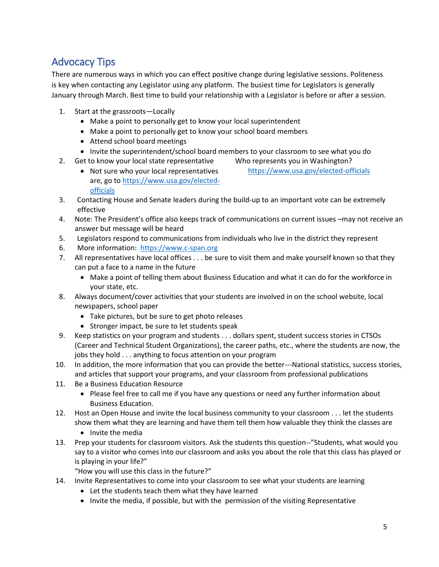### Advocacy Tips

There are numerous ways in which you can effect positive change during legislative sessions. Politeness is key when contacting any Legislator using any platform. The busiest time for Legislators is generally January through March. Best time to build your relationship with a Legislator is before or after a session.

- 1. Start at the grassroots—Locally
	- Make a point to personally get to know your local superintendent
	- Make a point to personally get to know your school board members
	- Attend school board meetings
	- Invite the superintendent/school board members to your classroom to see what you do
- 2. Get to know your local state representative Who represents you in Washington?
	- Not sure who your local representatives are, go to [https://www.usa.gov/elected](https://www.usa.gov/elected-officials)[officials](https://www.usa.gov/elected-officials) <https://www.usa.gov/elected-officials>
- 3. Contacting House and Senate leaders during the build-up to an important vote can be extremely effective
- 4. Note: The President's office also keeps track of communications on current issues –may not receive an answer but message will be heard
- 5. Legislators respond to communications from individuals who live in the district they represent
- 6. More information: [https://www.c-span.org](https://www.c-span.org/)
- 7. All representatives have local offices . . . be sure to visit them and make yourself known so that they can put a face to a name in the future
	- Make a point of telling them about Business Education and what it can do for the workforce in your state, etc.
- 8. Always document/cover activities that your students are involved in on the school website, local newspapers, school paper
	- Take pictures, but be sure to get photo releases
	- Stronger impact, be sure to let students speak
- 9. Keep statistics on your program and students . . . dollars spent, student success stories in CTSOs (Career and Technical Student Organizations), the career paths, etc., where the students are now, the jobs they hold . . . anything to focus attention on your program
- 10. In addition, the more information that you can provide the better---National statistics, success stories, and articles that support your programs, and your classroom from professional publications
- 11. Be a Business Education Resource
	- Please feel free to call me if you have any questions or need any further information about Business Education.
- 12. Host an Open House and invite the local business community to your classroom . . . let the students show them what they are learning and have them tell them how valuable they think the classes are
	- Invite the media
- 13. Prep your students for classroom visitors. Ask the students this question--"Students, what would you say to a visitor who comes into our classroom and asks you about the role that this class has played or is playing in your life?"

"How you will use this class in the future?"

- 14. Invite Representatives to come into your classroom to see what your students are learning
	- Let the students teach them what they have learned
	- Invite the media, if possible, but with the permission of the visiting Representative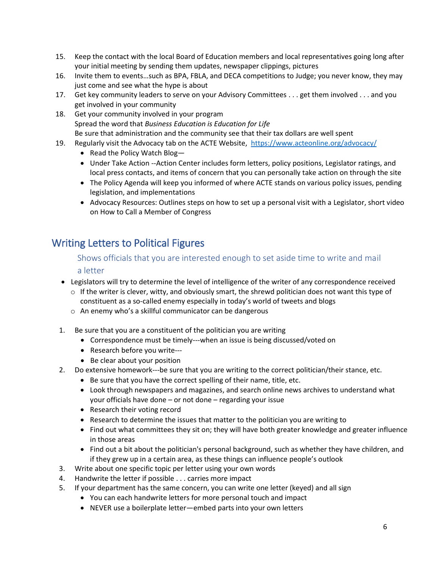- 15. Keep the contact with the local Board of Education members and local representatives going long after your initial meeting by sending them updates, newspaper clippings, pictures
- 16. Invite them to events…such as BPA, FBLA, and DECA competitions to Judge; you never know, they may just come and see what the hype is about
- 17. Get key community leaders to serve on your Advisory Committees . . . get them involved . . . and you get involved in your community
- 18. Get your community involved in your program Spread the word that *Business Education is Education for Life* Be sure that administration and the community see that their tax dollars are well spent
- 19. Regularly visit the Advocacy tab on the ACTE Website, <https://www.acteonline.org/advocacy/>
	- Read the Policy Watch Blog—
	- Under Take Action --Action Center includes form letters, policy positions, Legislator ratings, and local press contacts, and items of concern that you can personally take action on through the site
	- The Policy Agenda will keep you informed of where ACTE stands on various policy issues, pending legislation, and implementations
	- Advocacy Resources: Outlines steps on how to set up a personal visit with a Legislator, short video on How to Call a Member of Congress

### Writing Letters to Political Figures

#### Shows officials that you are interested enough to set aside time to write and mail a letter

- Legislators will try to determine the level of intelligence of the writer of any correspondence received
	- $\circ$  If the writer is clever, witty, and obviously smart, the shrewd politician does not want this type of constituent as a so-called enemy especially in today's world of tweets and blogs
	- o An enemy who's a skillful communicator can be dangerous
- 1. Be sure that you are a constituent of the politician you are writing
	- Correspondence must be timely---when an issue is being discussed/voted on
	- Research before you write---
	- Be clear about your position
- 2. Do extensive homework---be sure that you are writing to the correct politician/their stance, etc.
	- Be sure that you have the correct spelling of their name, title, etc.
	- Look through newspapers and magazines, and search online news archives to understand what your officials have done – or not done – regarding your issue
	- Research their voting record
	- Research to determine the issues that matter to the politician you are writing to
	- Find out what committees they sit on; they will have both greater knowledge and greater influence in those areas
	- Find out a bit about the politician's personal background, such as whether they have children, and if they grew up in a certain area, as these things can influence people's outlook
- 3. Write about one specific topic per letter using your own words
- 4. Handwrite the letter if possible . . . carries more impact
- 5. If your department has the same concern, you can write one letter (keyed) and all sign
	- You can each handwrite letters for more personal touch and impact
	- NEVER use a boilerplate letter—embed parts into your own letters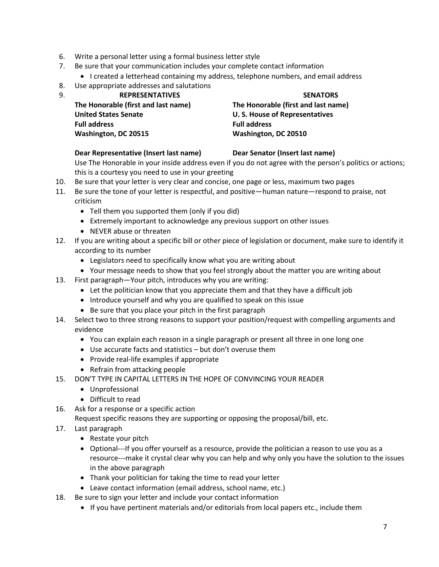- 6. Write a personal letter using a formal business letter style
- 7. Be sure that your communication includes your complete contact information
	- I created a letterhead containing my address, telephone numbers, and email address
- 8. Use appropriate addresses and salutations

| 9 | <b>REPRESENTATIVES</b>              | <b>SENATORS</b>                      |
|---|-------------------------------------|--------------------------------------|
|   | The Honorable (first and last name) | The Honorable (first and last name)  |
|   | <b>United States Senate</b>         | <b>U.S. House of Representatives</b> |
|   | <b>Full address</b>                 | <b>Full address</b>                  |
|   | Washington, DC 20515                | Washington, DC 20510                 |

#### **Dear Representative (Insert last name)**

#### **Dear Senator (Insert last name)**

Use The Honorable in your inside address even if you do not agree with the person's politics or actions; this is a courtesy you need to use in your greeting

- 10. Be sure that your letter is very clear and concise, one page or less, maximum two pages
- 11. Be sure the tone of your letter is respectful, and positive—human nature—respond to praise, not criticism
	- Tell them you supported them (only if you did)
	- Extremely important to acknowledge any previous support on other issues
	- NEVER abuse or threaten
- 12. If you are writing about a specific bill or other piece of legislation or document, make sure to identify it according to its number
	- Legislators need to specifically know what you are writing about
	- Your message needs to show that you feel strongly about the matter you are writing about
- 13. First paragraph—Your pitch, introduces why you are writing:
	- Let the politician know that you appreciate them and that they have a difficult job
	- Introduce yourself and why you are qualified to speak on this issue
	- Be sure that you place your pitch in the first paragraph
- 14. Select two to three strong reasons to support your position/request with compelling arguments and evidence
	- You can explain each reason in a single paragraph or present all three in one long one
	- Use accurate facts and statistics but don't overuse them
	- Provide real-life examples if appropriate
	- Refrain from attacking people
- 15. DON'T TYPE IN CAPITAL LETTERS IN THE HOPE OF CONVINCING YOUR READER
	- Unprofessional
	- Difficult to read
- 16. Ask for a response or a specific action

Request specific reasons they are supporting or opposing the proposal/bill, etc.

- 17. Last paragraph
	- Restate your pitch
	- Optional---If you offer yourself as a resource, provide the politician a reason to use you as a resource---make it crystal clear why you can help and why only you have the solution to the issues in the above paragraph
	- Thank your politician for taking the time to read your letter
	- Leave contact information (email address, school name, etc.)
- 18. Be sure to sign your letter and include your contact information
	- If you have pertinent materials and/or editorials from local papers etc., include them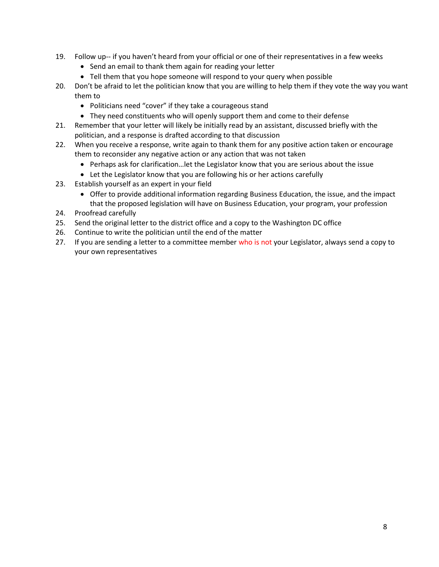- 19. Follow up-- if you haven't heard from your official or one of their representatives in a few weeks
	- Send an email to thank them again for reading your letter
	- Tell them that you hope someone will respond to your query when possible
- 20. Don't be afraid to let the politician know that you are willing to help them if they vote the way you want them to
	- Politicians need "cover" if they take a courageous stand
	- They need constituents who will openly support them and come to their defense
- 21. Remember that your letter will likely be initially read by an assistant, discussed briefly with the politician, and a response is drafted according to that discussion
- 22. When you receive a response, write again to thank them for any positive action taken or encourage them to reconsider any negative action or any action that was not taken
	- Perhaps ask for clarification…let the Legislator know that you are serious about the issue
	- Let the Legislator know that you are following his or her actions carefully
- 23. Establish yourself as an expert in your field
	- Offer to provide additional information regarding Business Education, the issue, and the impact that the proposed legislation will have on Business Education, your program, your profession
- 24. Proofread carefully
- 25. Send the original letter to the district office and a copy to the Washington DC office
- 26. Continue to write the politician until the end of the matter
- 27. If you are sending a letter to a committee member who is not your Legislator, always send a copy to your own representatives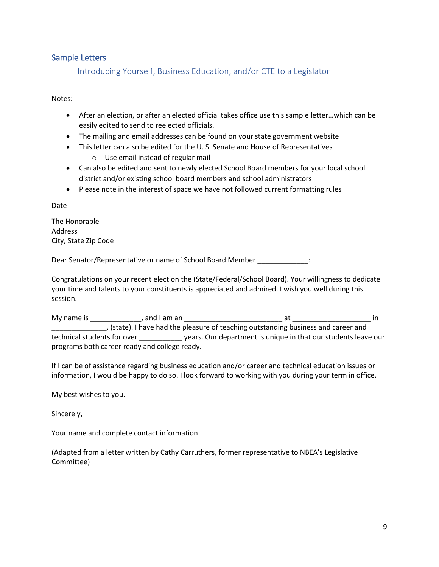#### Sample Letters

Introducing Yourself, Business Education, and/or CTE to a Legislator

Notes:

- After an election, or after an elected official takes office use this sample letter…which can be easily edited to send to reelected officials.
- The mailing and email addresses can be found on your state government website
- This letter can also be edited for the U. S. Senate and House of Representatives
	- o Use email instead of regular mail
- Can also be edited and sent to newly elected School Board members for your local school district and/or existing school board members and school administrators
- Please note in the interest of space we have not followed current formatting rules

Date

| The Honorable        |  |
|----------------------|--|
| Address              |  |
| City, State Zip Code |  |

Dear Senator/Representative or name of School Board Member \_\_\_\_\_\_\_\_\_\_\_\_\_:

Congratulations on your recent election the (State/Federal/School Board). Your willingness to dedicate your time and talents to your constituents is appreciated and admired. I wish you well during this session.

My name is \_\_\_\_\_\_\_\_\_\_\_\_\_, and I am an \_\_\_\_\_\_\_\_\_\_\_\_\_\_\_\_\_\_\_\_\_\_\_\_\_ at \_\_\_\_\_\_\_\_\_\_\_\_\_\_\_\_\_\_\_\_ in \_\_\_\_\_\_\_\_\_\_\_\_\_\_, (state). I have had the pleasure of teaching outstanding business and career and technical students for over \_\_\_\_\_\_\_\_\_\_\_ years. Our department is unique in that our students leave our programs both career ready and college ready.

If I can be of assistance regarding business education and/or career and technical education issues or information, I would be happy to do so. I look forward to working with you during your term in office.

My best wishes to you.

Sincerely,

Your name and complete contact information

(Adapted from a letter written by Cathy Carruthers, former representative to NBEA's Legislative Committee)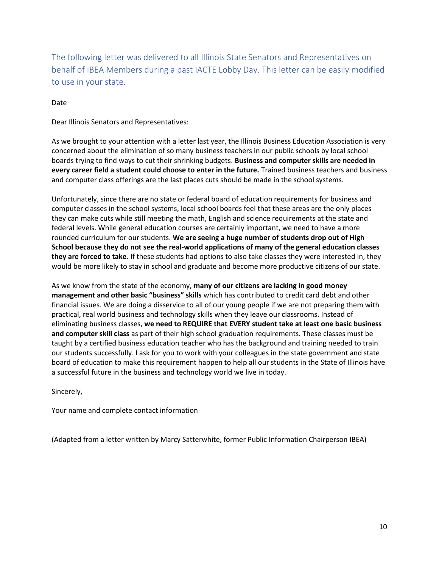The following letter was delivered to all Illinois State Senators and Representatives on behalf of IBEA Members during a past IACTE Lobby Day. This letter can be easily modified to use in your state.

Date

Dear Illinois Senators and Representatives:

As we brought to your attention with a letter last year, the Illinois Business Education Association is very concerned about the elimination of so many business teachers in our public schools by local school boards trying to find ways to cut their shrinking budgets. **Business and computer skills are needed in every career field a student could choose to enter in the future.** Trained business teachers and business and computer class offerings are the last places cuts should be made in the school systems.

Unfortunately, since there are no state or federal board of education requirements for business and computer classes in the school systems, local school boards feel that these areas are the only places they can make cuts while still meeting the math, English and science requirements at the state and federal levels. While general education courses are certainly important, we need to have a more rounded curriculum for our students. **We are seeing a huge number of students drop out of High School because they do not see the real-world applications of many of the general education classes they are forced to take.** If these students had options to also take classes they were interested in, they would be more likely to stay in school and graduate and become more productive citizens of our state.

As we know from the state of the economy, **many of our citizens are lacking in good money management and other basic "business" skills** which has contributed to credit card debt and other financial issues. We are doing a disservice to all of our young people if we are not preparing them with practical, real world business and technology skills when they leave our classrooms. Instead of eliminating business classes, **we need to REQUIRE that EVERY student take at least one basic business and computer skill class** as part of their high school graduation requirements. These classes must be taught by a certified business education teacher who has the background and training needed to train our students successfully. I ask for you to work with your colleagues in the state government and state board of education to make this requirement happen to help all our students in the State of Illinois have a successful future in the business and technology world we live in today.

Sincerely,

Your name and complete contact information

(Adapted from a letter written by Marcy Satterwhite, former Public Information Chairperson IBEA)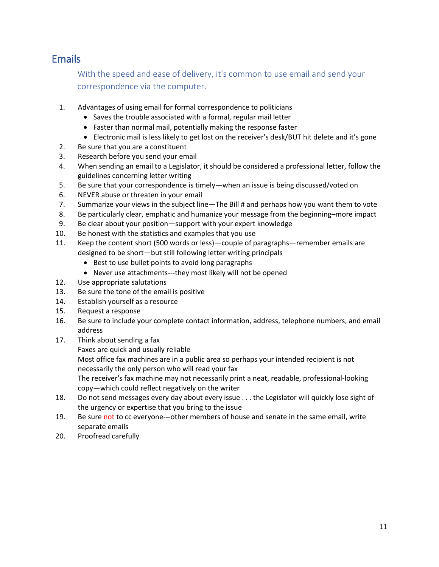### Emails

With the speed and ease of delivery, it's common to use email and send your correspondence via the computer.

- 1. Advantages of using email for formal correspondence to politicians
	- Saves the trouble associated with a formal, regular mail letter
	- Faster than normal mail, potentially making the response faster
	- Electronic mail is less likely to get lost on the receiver's desk/BUT hit delete and it's gone
- 2. Be sure that you are a constituent
- 3. Research before you send your email
- 4. When sending an email to a Legislator, it should be considered a professional letter, follow the guidelines concerning letter writing
- 5. Be sure that your correspondence is timely—when an issue is being discussed/voted on
- 6. NEVER abuse or threaten in your email
- 7. Summarize your views in the subject line—The Bill # and perhaps how you want them to vote
- 8. Be particularly clear, emphatic and humanize your message from the beginning–more impact
- 9. Be clear about your position—support with your expert knowledge
- 10. Be honest with the statistics and examples that you use
- 11. Keep the content short (500 words or less)—couple of paragraphs—remember emails are designed to be short—but still following letter writing principals
	- Best to use bullet points to avoid long paragraphs
	- Never use attachments---they most likely will not be opened
- 12. Use appropriate salutations
- 13. Be sure the tone of the email is positive
- 14. Establish yourself as a resource
- 15. Request a response
- 16. Be sure to include your complete contact information, address, telephone numbers, and email address
- 17. Think about sending a fax
	- Faxes are quick and usually reliable
	- Most office fax machines are in a public area so perhaps your intended recipient is not necessarily the only person who will read your fax

The receiver's fax machine may not necessarily print a neat, readable, professional-looking copy—which could reflect negatively on the writer

- 18. Do not send messages every day about every issue . . . the Legislator will quickly lose sight of the urgency or expertise that you bring to the issue
- 19. Be sure not to cc everyone---other members of house and senate in the same email, write separate emails
- 20. Proofread carefully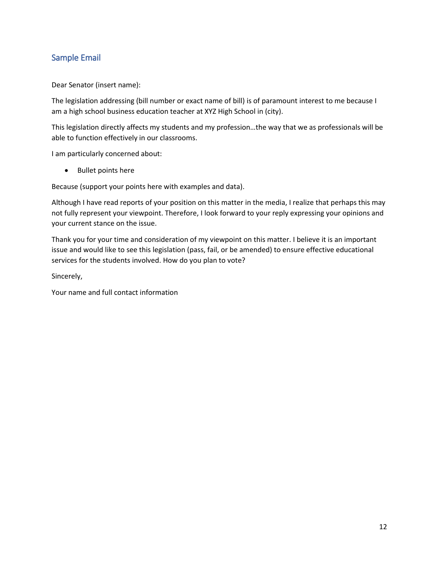#### Sample Email

Dear Senator (insert name):

The legislation addressing (bill number or exact name of bill) is of paramount interest to me because I am a high school business education teacher at XYZ High School in (city).

This legislation directly affects my students and my profession…the way that we as professionals will be able to function effectively in our classrooms.

I am particularly concerned about:

• Bullet points here

Because (support your points here with examples and data).

Although I have read reports of your position on this matter in the media, I realize that perhaps this may not fully represent your viewpoint. Therefore, I look forward to your reply expressing your opinions and your current stance on the issue.

Thank you for your time and consideration of my viewpoint on this matter. I believe it is an important issue and would like to see this legislation (pass, fail, or be amended) to ensure effective educational services for the students involved. How do you plan to vote?

Sincerely,

Your name and full contact information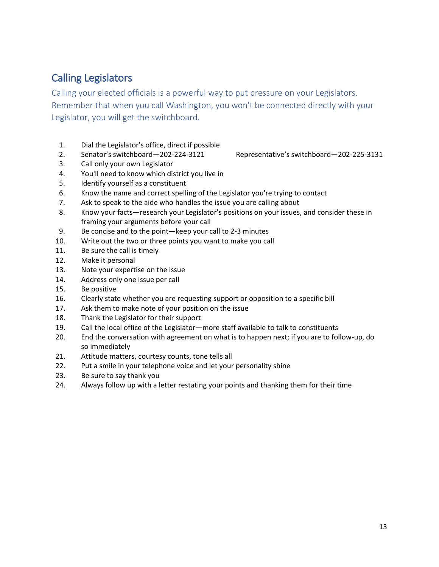### Calling Legislators

Calling your elected officials is a powerful way to put pressure on your Legislators. Remember that when you call Washington, you won't be connected directly with your Legislator, you will get the switchboard.

- 1. Dial the Legislator's office, direct if possible
- 2. Senator's switchboard—202-224-3121 Representative's switchboard—202-225-3131
- 3. Call only your own Legislator
- 4. You'll need to know which district you live in
- 5. Identify yourself as a constituent
- 6. Know the name and correct spelling of the Legislator you're trying to contact
- 7. Ask to speak to the aide who handles the issue you are calling about
- 8. Know your facts—research your Legislator's positions on your issues, and consider these in framing your arguments before your call
- 9. Be concise and to the point—keep your call to 2-3 minutes
- 10. Write out the two or three points you want to make you call
- 11. Be sure the call is timely
- 12. Make it personal
- 13. Note your expertise on the issue
- 14. Address only one issue per call
- 15. Be positive
- 16. Clearly state whether you are requesting support or opposition to a specific bill
- 17. Ask them to make note of your position on the issue
- 18. Thank the Legislator for their support
- 19. Call the local office of the Legislator—more staff available to talk to constituents
- 20. End the conversation with agreement on what is to happen next; if you are to follow-up, do so immediately
- 21. Attitude matters, courtesy counts, tone tells all
- 22. Put a smile in your telephone voice and let your personality shine
- 23. Be sure to say thank you
- 24. Always follow up with a letter restating your points and thanking them for their time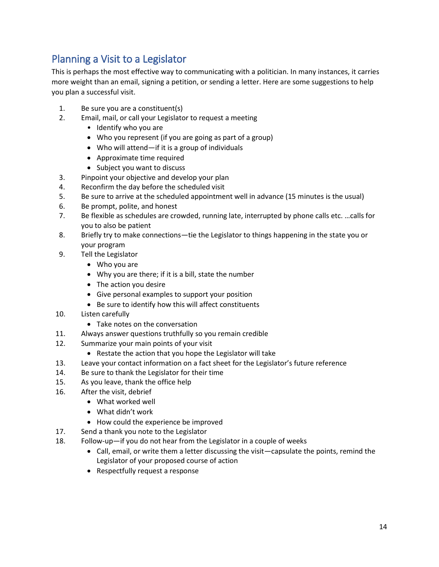### Planning a Visit to a Legislator

This is perhaps the most effective way to communicating with a politician. In many instances, it carries more weight than an email, signing a petition, or sending a letter. Here are some suggestions to help you plan a successful visit.

- 1. Be sure you are a constituent(s)
- 2. Email, mail, or call your Legislator to request a meeting
	- Identify who you are
	- Who you represent (if you are going as part of a group)
	- Who will attend—if it is a group of individuals
	- Approximate time required
	- Subject you want to discuss
- 3. Pinpoint your objective and develop your plan
- 4. Reconfirm the day before the scheduled visit
- 5. Be sure to arrive at the scheduled appointment well in advance (15 minutes is the usual)
- 6. Be prompt, polite, and honest
- 7. Be flexible as schedules are crowded, running late, interrupted by phone calls etc. …calls for you to also be patient
- 8. Briefly try to make connections—tie the Legislator to things happening in the state you or your program
- 9. Tell the Legislator
	- Who you are
	- Why you are there; if it is a bill, state the number
	- The action you desire
	- Give personal examples to support your position
	- Be sure to identify how this will affect constituents
- 10. Listen carefully
	- Take notes on the conversation
- 11. Always answer questions truthfully so you remain credible
- 12. Summarize your main points of your visit
	- Restate the action that you hope the Legislator will take
- 13. Leave your contact information on a fact sheet for the Legislator's future reference
- 14. Be sure to thank the Legislator for their time
- 15. As you leave, thank the office help
- 16. After the visit, debrief
	- What worked well
	- What didn't work
	- How could the experience be improved
- 17. Send a thank you note to the Legislator
- 18. Follow-up—if you do not hear from the Legislator in a couple of weeks
	- Call, email, or write them a letter discussing the visit—capsulate the points, remind the Legislator of your proposed course of action
	- Respectfully request a response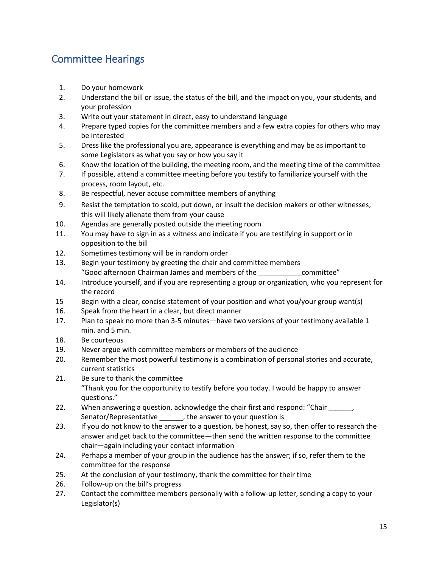### Committee Hearings

- 1. Do your homework
- 2. Understand the bill or issue, the status of the bill, and the impact on you, your students, and your profession
- 3. Write out your statement in direct, easy to understand language
- 4. Prepare typed copies for the committee members and a few extra copies for others who may be interested
- 5. Dress like the professional you are, appearance is everything and may be as important to some Legislators as what you say or how you say it
- 6. Know the location of the building, the meeting room, and the meeting time of the committee
- 7. If possible, attend a committee meeting before you testify to familiarize yourself with the process, room layout, etc.
- 8. Be respectful, never accuse committee members of anything
- 9. Resist the temptation to scold, put down, or insult the decision makers or other witnesses, this will likely alienate them from your cause
- 10. Agendas are generally posted outside the meeting room
- 11. You may have to sign in as a witness and indicate if you are testifying in support or in opposition to the bill
- 12. Sometimes testimony will be in random order
- 13. Begin your testimony by greeting the chair and committee members "Good afternoon Chairman James and members of the \_\_\_\_\_\_\_\_\_\_\_committee"
- 14. Introduce yourself, and if you are representing a group or organization, who you represent for the record
- 15 Begin with a clear, concise statement of your position and what you/your group want(s)
- 16. Speak from the heart in a clear, but direct manner
- 17. Plan to speak no more than 3-5 minutes—have two versions of your testimony available 1 min. and 5 min.
- 18. Be courteous
- 19. Never argue with committee members or members of the audience
- 20. Remember the most powerful testimony is a combination of personal stories and accurate, current statistics
- 21. Be sure to thank the committee "Thank you for the opportunity to testify before you today. I would be happy to answer questions."
- 22. When answering a question, acknowledge the chair first and respond: "Chair \_\_\_\_\_\_, Senator/Representative \_\_\_\_\_\_, the answer to your question is
- 23. If you do not know to the answer to a question, be honest, say so, then offer to research the answer and get back to the committee—then send the written response to the committee chair—again including your contact information
- 24. Perhaps a member of your group in the audience has the answer; if so, refer them to the committee for the response
- 25. At the conclusion of your testimony, thank the committee for their time
- 26. Follow-up on the bill's progress
- 27. Contact the committee members personally with a follow-up letter, sending a copy to your Legislator(s)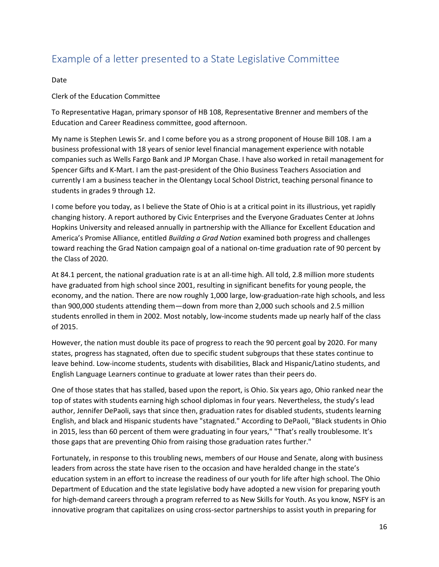### Example of a letter presented to a State Legislative Committee

#### Date

#### Clerk of the Education Committee

To Representative Hagan, primary sponsor of HB 108, Representative Brenner and members of the Education and Career Readiness committee, good afternoon.

My name is Stephen Lewis Sr. and I come before you as a strong proponent of House Bill 108. I am a business professional with 18 years of senior level financial management experience with notable companies such as Wells Fargo Bank and JP Morgan Chase. I have also worked in retail management for Spencer Gifts and K-Mart. I am the past-president of the Ohio Business Teachers Association and currently I am a business teacher in the Olentangy Local School District, teaching personal finance to students in grades 9 through 12.

I come before you today, as I believe the State of Ohio is at a critical point in its illustrious, yet rapidly changing history. A report authored by Civic Enterprises and the Everyone Graduates Center at Johns Hopkins University and released annually in partnership with the Alliance for Excellent Education and America's Promise Alliance, entitled *Building a Grad Nation* examined both progress and challenges toward reaching the Grad Nation campaign goal of a national on-time graduation rate of 90 percent by the Class of 2020.

At 84.1 percent, the national graduation rate is at an all-time high. All told, 2.8 million more students have graduated from high school since 2001, resulting in significant benefits for young people, the economy, and the nation. There are now roughly 1,000 large, low-graduation-rate high schools, and less than 900,000 students attending them—down from more than 2,000 such schools and 2.5 million students enrolled in them in 2002. Most notably, low-income students made up nearly half of the class of 2015.

However, the nation must double its pace of progress to reach the 90 percent goal by 2020. For many states, progress has stagnated, often due to specific student subgroups that these states continue to leave behind. Low-income students, students with disabilities, Black and Hispanic/Latino students, and English Language Learners continue to graduate at lower rates than their peers do.

One of those states that has stalled, based upon the report, is Ohio. Six years ago, Ohio ranked near the top of states with students earning high school diplomas in four years. Nevertheless, the study's lead author, Jennifer DePaoli, says that since then, graduation rates for disabled students, students learning English, and black and Hispanic students have "stagnated." According to DePaoli, "Black students in Ohio in 2015, less than 60 percent of them were graduating in four years," "That's really troublesome. It's those gaps that are preventing Ohio from raising those graduation rates further."

Fortunately, in response to this troubling news, members of our House and Senate, along with business leaders from across the state have risen to the occasion and have heralded change in the state's education system in an effort to increase the readiness of our youth for life after high school. The Ohio Department of Education and the state legislative body have adopted a new vision for preparing youth for high-demand careers through a program referred to as New Skills for Youth. As you know, NSFY is an innovative program that capitalizes on using cross-sector partnerships to assist youth in preparing for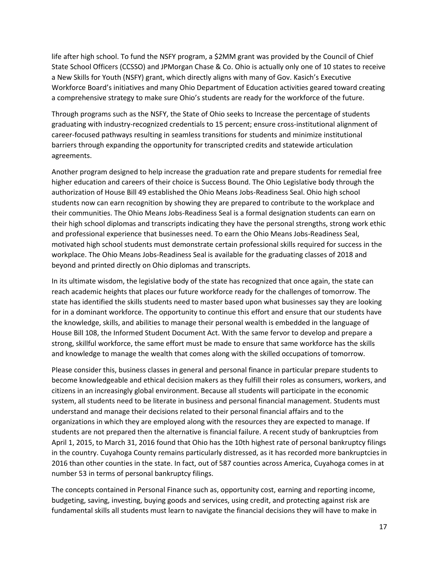life after high school. To fund the NSFY program, a \$2MM grant was provided by the Council of Chief State School Officers (CCSSO) and JPMorgan Chase & Co. Ohio is actually only one of 10 states to receive a New Skills for Youth (NSFY) grant, which directly aligns with many of Gov. Kasich's Executive Workforce Board's initiatives and many Ohio Department of Education activities geared toward creating a comprehensive strategy to make sure Ohio's students are ready for the workforce of the future.

Through programs such as the NSFY, the State of Ohio seeks to Increase the percentage of students graduating with industry-recognized credentials to 15 percent; ensure cross-institutional alignment of career-focused pathways resulting in seamless transitions for students and minimize institutional barriers through expanding the opportunity for transcripted credits and statewide articulation agreements.

Another program designed to help increase the graduation rate and prepare students for remedial free higher education and careers of their choice is Success Bound. The Ohio Legislative body through the authorization of House Bill 49 established the Ohio Means Jobs-Readiness Seal. Ohio high school students now can earn recognition by showing they are prepared to contribute to the workplace and their communities. The Ohio Means Jobs-Readiness Seal is a formal designation students can earn on their high school diplomas and transcripts indicating they have the personal strengths, strong work ethic and professional experience that businesses need. To earn the Ohio Means Jobs-Readiness Seal, motivated high school students must demonstrate certain professional skills required for success in the workplace. The Ohio Means Jobs-Readiness Seal is available for the graduating classes of 2018 and beyond and printed directly on Ohio diplomas and transcripts.

In its ultimate wisdom, the legislative body of the state has recognized that once again, the state can reach academic heights that places our future workforce ready for the challenges of tomorrow. The state has identified the skills students need to master based upon what businesses say they are looking for in a dominant workforce. The opportunity to continue this effort and ensure that our students have the knowledge, skills, and abilities to manage their personal wealth is embedded in the language of House Bill 108, the Informed Student Document Act. With the same fervor to develop and prepare a strong, skillful workforce, the same effort must be made to ensure that same workforce has the skills and knowledge to manage the wealth that comes along with the skilled occupations of tomorrow.

Please consider this, business classes in general and personal finance in particular prepare students to become knowledgeable and ethical decision makers as they fulfill their roles as consumers, workers, and citizens in an increasingly global environment. Because all students will participate in the economic system, all students need to be literate in business and personal financial management. Students must understand and manage their decisions related to their personal financial affairs and to the organizations in which they are employed along with the resources they are expected to manage. If students are not prepared then the alternative is financial failure. A recent study of bankruptcies from April 1, 2015, to March 31, 2016 found that Ohio has the 10th highest rate of personal bankruptcy filings in the country. Cuyahoga County remains particularly distressed, as it has recorded more bankruptcies in 2016 than other counties in the state. In fact, out of 587 counties across America, Cuyahoga comes in at number 53 in terms of personal bankruptcy filings.

The concepts contained in Personal Finance such as, opportunity cost, earning and reporting income, budgeting, saving, investing, buying goods and services, using credit, and protecting against risk are fundamental skills all students must learn to navigate the financial decisions they will have to make in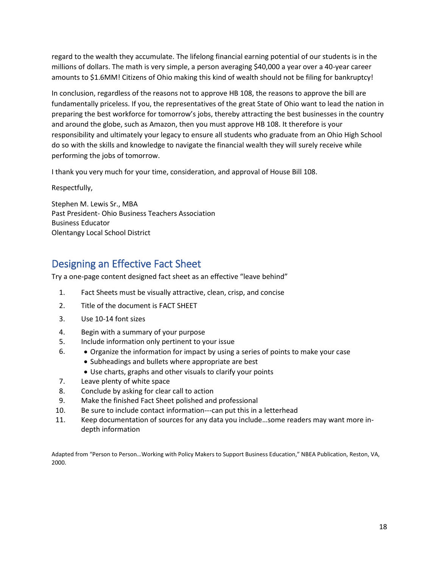regard to the wealth they accumulate. The lifelong financial earning potential of our students is in the millions of dollars. The math is very simple, a person averaging \$40,000 a year over a 40-year career amounts to \$1.6MM! Citizens of Ohio making this kind of wealth should not be filing for bankruptcy!

In conclusion, regardless of the reasons not to approve HB 108, the reasons to approve the bill are fundamentally priceless. If you, the representatives of the great State of Ohio want to lead the nation in preparing the best workforce for tomorrow's jobs, thereby attracting the best businesses in the country and around the globe, such as Amazon, then you must approve HB 108. It therefore is your responsibility and ultimately your legacy to ensure all students who graduate from an Ohio High School do so with the skills and knowledge to navigate the financial wealth they will surely receive while performing the jobs of tomorrow.

I thank you very much for your time, consideration, and approval of House Bill 108.

Respectfully,

Stephen M. Lewis Sr., MBA Past President- Ohio Business Teachers Association Business Educator Olentangy Local School District

### Designing an Effective Fact Sheet

Try a one-page content designed fact sheet as an effective "leave behind"

- 1. Fact Sheets must be visually attractive, clean, crisp, and concise
- 2. Title of the document is FACT SHEET
- 3. Use 10-14 font sizes
- 4. Begin with a summary of your purpose
- 5. Include information only pertinent to your issue
- 6. Organize the information for impact by using a series of points to make your case
	- Subheadings and bullets where appropriate are best
	- Use charts, graphs and other visuals to clarify your points
- 7. Leave plenty of white space
- 8. Conclude by asking for clear call to action
- 9. Make the finished Fact Sheet polished and professional
- 10. Be sure to include contact information---can put this in a letterhead
- 11. Keep documentation of sources for any data you include…some readers may want more indepth information

Adapted from "Person to Person…Working with Policy Makers to Support Business Education," NBEA Publication, Reston, VA, 2000.